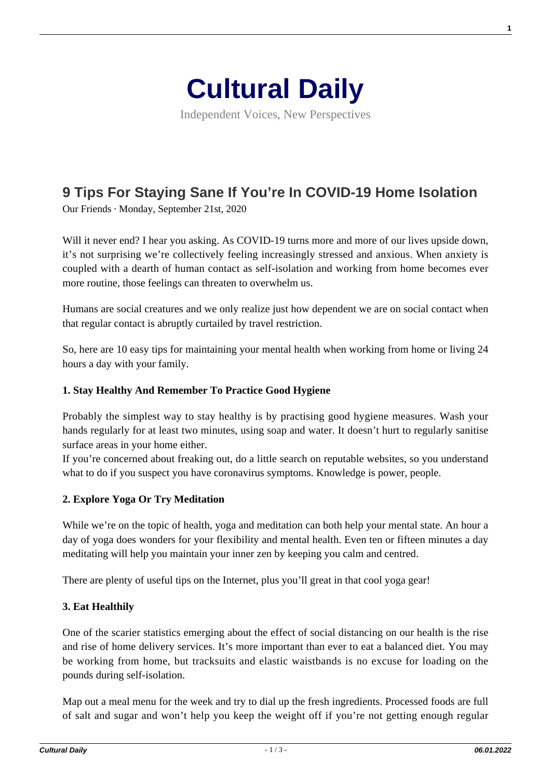

Independent Voices, New Perspectives

# **[9 Tips For Staying Sane If You're In COVID-19 Home Isolation](https://culturaldaily.com/9-tips-for-staying-sane-if-youre-in-covid-19-home-isolation/)**

Our Friends · Monday, September 21st, 2020

Will it never end? I hear you asking. As COVID-19 turns more and more of our lives upside down, it's not surprising we're collectively feeling increasingly stressed and anxious. When anxiety is coupled with a dearth of human contact as self-isolation and working from home becomes ever more routine, those feelings can threaten to overwhelm us.

Humans are social creatures and we only realize just how dependent we are on social contact when that regular contact is abruptly curtailed by travel restriction.

So, here are 10 easy tips for maintaining your mental health when working from home or living 24 hours a day with your family.

#### **1. Stay Healthy And Remember To Practice Good Hygiene**

Probably the simplest way to stay healthy is by practising good hygiene measures. Wash your hands regularly for at least two minutes, using soap and water. It doesn't hurt to regularly sanitise surface areas in your home either.

If you're concerned about freaking out, do a little search on reputable websites, so you understand what to do if you suspect you have coronavirus symptoms. Knowledge is power, people.

## **2. Explore Yoga Or Try Meditation**

While we're on the topic of health, yoga and meditation can both help your mental state. An hour a day of yoga does wonders for your flexibility and mental health. Even ten or fifteen minutes a day meditating will help you maintain your inner zen by keeping you calm and centred.

There are plenty of useful tips on the Internet, plus you'll great in that cool yoga gear!

## **3. Eat Healthily**

One of the scarier statistics emerging about the effect of social distancing on our health is the rise and rise of home delivery services. It's more important than ever to eat a balanced diet. You may be working from home, but tracksuits and elastic waistbands is no excuse for loading on the pounds during self-isolation.

Map out a meal menu for the week and try to dial up the fresh ingredients. Processed foods are full of salt and sugar and won't help you keep the weight off if you're not getting enough regular **1**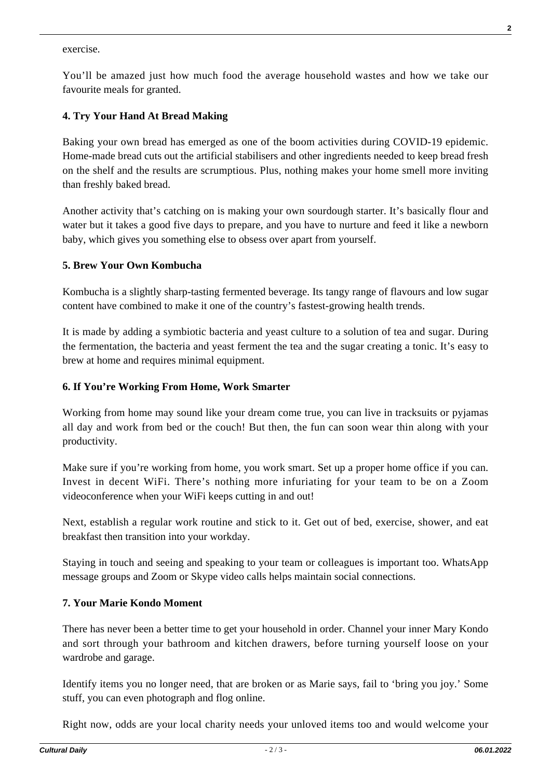exercise.

You'll be amazed just how much food the average household wastes and how we take our favourite meals for granted.

# **4. Try Your Hand At Bread Making**

Baking your own bread has emerged as one of the boom activities during COVID-19 epidemic. Home-made bread cuts out the artificial stabilisers and other ingredients needed to keep bread fresh on the shelf and the results are scrumptious. Plus, nothing makes your home smell more inviting than freshly baked bread.

Another activity that's catching on is making your own sourdough starter. It's basically flour and water but it takes a good five days to prepare, and you have to nurture and feed it like a newborn baby, which gives you something else to obsess over apart from yourself.

## **5. Brew Your Own Kombucha**

Kombucha is a slightly sharp-tasting fermented beverage. Its tangy range of flavours and low sugar content have combined to make it one of the country's fastest-growing health trends.

It is made by adding a symbiotic bacteria and yeast culture to a solution of tea and sugar. During the fermentation, the bacteria and yeast ferment the tea and the sugar creating a tonic. It's easy to brew at home and requires minimal equipment.

## **6. If You're Working From Home, Work Smarter**

Working from home may sound like your dream come true, you can live in tracksuits or pyjamas all day and work from bed or the couch! But then, the fun can soon wear thin along with your productivity.

Make sure if you're working from home, you work smart. Set up a proper home office if you can. Invest in decent WiFi. There's nothing more infuriating for your team to be on a Zoom videoconference when your WiFi keeps cutting in and out!

Next, establish a regular work routine and stick to it. Get out of bed, exercise, shower, and eat breakfast then transition into your workday.

Staying in touch and seeing and speaking to your team or colleagues is important too. WhatsApp message groups and Zoom or Skype video calls helps maintain social connections.

## **7. Your Marie Kondo Moment**

There has never been a better time to get your household in order. Channel your inner Mary Kondo and sort through your bathroom and kitchen drawers, before turning yourself loose on your wardrobe and garage.

Identify items you no longer need, that are broken or as Marie says, fail to 'bring you joy.' Some stuff, you can even photograph and flog online.

Right now, odds are your local charity needs your unloved items too and would welcome your